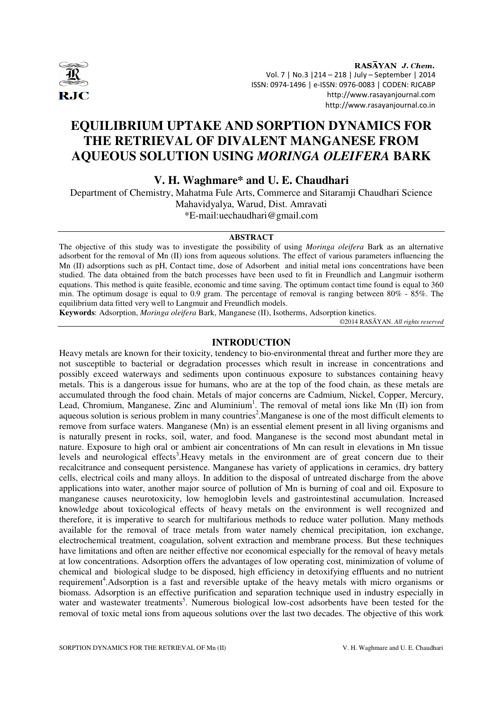

RASAYAN J. Chem. Vol. 7 | No.3 |214 – 218 | July – September | 2014 ISSN: 0974-1496 | e-ISSN: 0976-0083 | CODEN: RJCABP http://www.rasayanjournal.com http://www.rasayanjournal.co.in

# **EQUILIBRIUM UPTAKE AND SORPTION DYNAMICS FOR THE RETRIEVAL OF DIVALENT MANGANESE FROM AQUEOUS SOLUTION USING** *MORINGA OLEIFERA* **BARK**

**V. H. Waghmare\* and U. E. Chaudhari**

Department of Chemistry, Mahatma Fule Arts, Commerce and Sitaramji Chaudhari Science Mahavidyalya, Warud, Dist. Amravati \*E-mail:uechaudhari@gmail.com

#### **ABSTRACT**

The objective of this study was to investigate the possibility of using *Moringa oleifera* Bark as an alternative adsorbent for the removal of Mn (II) ions from aqueous solutions. The effect of various parameters influencing the Mn (II) adsorptions such as pH, Contact time, dose of Adsorbent and initial metal ions concentrations have been studied. The data obtained from the batch processes have been used to fit in Freundlich and Langmuir isotherm equations. This method is quite feasible, economic and time saving. The optimum contact time found is equal to 360 min. The optimum dosage is equal to 0.9 gram. The percentage of removal is ranging between 80% - 85%. The equilibrium data fitted very well to Langmuir and Freundlich models.

**Keywords**: Adsorption, *Moringa oleifera* Bark, Manganese (II), Isotherms, Adsorption kinetics.

©2014 RASĀYAN. *All rights reserved*

# **INTRODUCTION**

Heavy metals are known for their toxicity, tendency to bio-environmental threat and further more they are not susceptible to bacterial or degradation processes which result in increase in concentrations and possibly exceed waterways and sediments upon continuous exposure to substances containing heavy metals. This is a dangerous issue for humans, who are at the top of the food chain, as these metals are accumulated through the food chain. Metals of major concerns are Cadmium, Nickel, Copper, Mercury, Lead, Chromium, Manganese, Zinc and Aluminium<sup>1</sup>. The removal of metal ions like Mn (II) ion from aqueous solution is serious problem in many countries<sup>2</sup>. Manganese is one of the most difficult elements to remove from surface waters. Manganese (Mn) is an essential element present in all living organisms and is naturally present in rocks, soil, water, and food. Manganese is the second most abundant metal in nature. Exposure to high oral or ambient air concentrations of Mn can result in elevations in Mn tissue levels and neurological effects<sup>3</sup>. Heavy metals in the environment are of great concern due to their recalcitrance and consequent persistence. Manganese has variety of applications in ceramics, dry battery cells, electrical coils and many alloys. In addition to the disposal of untreated discharge from the above applications into water, another major source of pollution of Mn is burning of coal and oil. Exposure to manganese causes neurotoxicity, low hemoglobin levels and gastrointestinal accumulation. Increased knowledge about toxicological effects of heavy metals on the environment is well recognized and therefore, it is imperative to search for multifarious methods to reduce water pollution. Many methods available for the removal of trace metals from water namely chemical precipitation, ion exchange, electrochemical treatment, coagulation, solvent extraction and membrane process. But these techniques have limitations and often are neither effective nor economical especially for the removal of heavy metals at low concentrations. Adsorption offers the advantages of low operating cost, minimization of volume of chemical and biological sludge to be disposed, high efficiency in detoxifying effluents and no nutrient requirement<sup>4</sup>. Adsorption is a fast and reversible uptake of the heavy metals with micro organisms or biomass. Adsorption is an effective purification and separation technique used in industry especially in water and wastewater treatments<sup>5</sup>. Numerous biological low-cost adsorbents have been tested for the removal of toxic metal ions from aqueous solutions over the last two decades. The objective of this work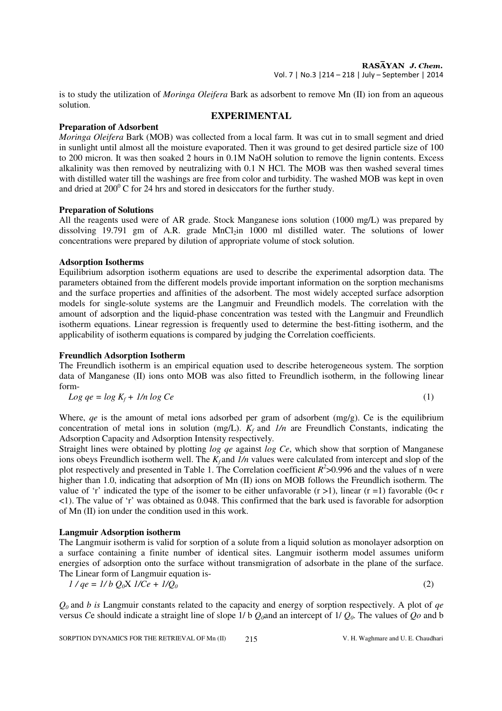is to study the utilization of *Moringa Oleifera* Bark as adsorbent to remove Mn (II) ion from an aqueous solution.

# **EXPERIMENTAL**

#### **Preparation of Adsorbent**

*Moringa Oleifera* Bark (MOB) was collected from a local farm. It was cut in to small segment and dried in sunlight until almost all the moisture evaporated. Then it was ground to get desired particle size of 100 to 200 micron. It was then soaked 2 hours in 0.1M NaOH solution to remove the lignin contents. Excess alkalinity was then removed by neutralizing with 0.1 N HCl. The MOB was then washed several times with distilled water till the washings are free from color and turbidity. The washed MOB was kept in oven and dried at  $200^{\circ}$  C for 24 hrs and stored in desiccators for the further study.

#### **Preparation of Solutions**

All the reagents used were of AR grade. Stock Manganese ions solution (1000 mg/L) was prepared by dissolving  $19.791$  gm of A.R. grade MnCl<sub>2</sub>in  $1000$  ml distilled water. The solutions of lower concentrations were prepared by dilution of appropriate volume of stock solution.

# **Adsorption Isotherms**

Equilibrium adsorption isotherm equations are used to describe the experimental adsorption data. The parameters obtained from the different models provide important information on the sorption mechanisms and the surface properties and affinities of the adsorbent. The most widely accepted surface adsorption models for single-solute systems are the Langmuir and Freundlich models. The correlation with the amount of adsorption and the liquid-phase concentration was tested with the Langmuir and Freundlich isotherm equations. Linear regression is frequently used to determine the best-fitting isotherm, and the applicability of isotherm equations is compared by judging the Correlation coefficients.

## **Freundlich Adsorption Isotherm**

The Freundlich isotherm is an empirical equation used to describe heterogeneous system. The sorption data of Manganese (II) ions onto MOB was also fitted to Freundlich isotherm, in the following linear form-

$$
Log qe = log K_f + 1/n log Ce
$$
 (1)

Where, *qe* is the amount of metal ions adsorbed per gram of adsorbent (mg/g). Ce is the equilibrium concentration of metal ions in solution (mg/L).  $K_f$  and  $1/n$  are Freundlich Constants, indicating the Adsorption Capacity and Adsorption Intensity respectively.

Straight lines were obtained by plotting *log qe* against *log Ce*, which show that sorption of Manganese ions obeys Freundlich isotherm well. The  $K_f$  and  $I/n$  values were calculated from intercept and slop of the plot respectively and presented in Table 1. The Correlation coefficient  $R^2$  >0.996 and the values of n were higher than 1.0, indicating that adsorption of Mn (II) ions on MOB follows the Freundlich isotherm. The value of 'r' indicated the type of the isomer to be either unfavorable  $(r > 1)$ , linear  $(r = 1)$  favorable  $(0 < r$ <1). The value of 'r' was obtained as 0.048. This confirmed that the bark used is favorable for adsorption of Mn (II) ion under the condition used in this work.

#### **Langmuir Adsorption isotherm**

The Langmuir isotherm is valid for sorption of a solute from a liquid solution as monolayer adsorption on a surface containing a finite number of identical sites. Langmuir isotherm model assumes uniform energies of adsorption onto the surface without transmigration of adsorbate in the plane of the surface. The Linear form of Langmuir equation is-

$$
1/qe = 1/b Q_0 X I/Ce + I/Q_0
$$
 (2)

*Q0* and *b is* Langmuir constants related to the capacity and energy of sorption respectively. A plot of *qe*  versus *C*e should indicate a straight line of slope 1/ b *Q0*and an intercept of 1/ *Q0*. The values of *Qo* and b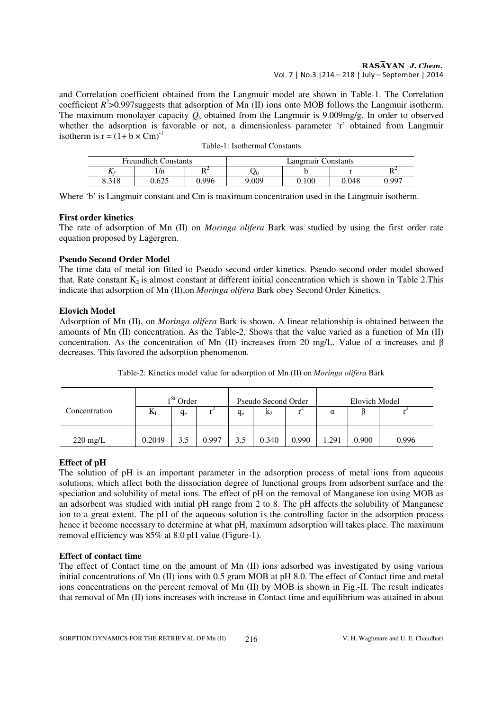### RASĀYAN J. Chem. Vol. 7 | No.3 |214 – 218 | July – September | 2014

and Correlation coefficient obtained from the Langmuir model are shown in Table-1. The Correlation coefficient  $R^2 > 0.997$  suggests that adsorption of Mn (II) ions onto MOB follows the Langmuir isotherm. The maximum monolayer capacity *Q0* obtained from the Langmuir is 9.009mg/g. In order to observed whether the adsorption is favorable or not, a dimensionless parameter 'r' obtained from Langmuir isotherm is  $r = (1 + b \times Cm)^{-1}$ 

|  | Table-1: Isothermal Constants |  |
|--|-------------------------------|--|
|--|-------------------------------|--|

|       | <b>Freundlich Constants</b> |              |       | Langmuir Constants |       |                      |  |  |
|-------|-----------------------------|--------------|-------|--------------------|-------|----------------------|--|--|
| Δ,    | l/n                         | $\mathbf{L}$ | Ų(,   |                    |       | D <sup>2</sup><br>11 |  |  |
| 8.318 | 0.625                       | ).996        | 9.009 | .100               | 0.048 | 0.997                |  |  |

Where 'b' is Langmuir constant and Cm is maximum concentration used in the Langmuir isotherm.

#### **First order kinetics**

The rate of adsorption of Mn (II) on *Moringa olifera* Bark was studied by using the first order rate equation proposed by Lagergren.

#### **Pseudo Second Order Model**

The time data of metal ion fitted to Pseudo second order kinetics. Pseudo second order model showed that, Rate constant  $K_2$  is almost constant at different initial concentration which is shown in Table 2. This indicate that adsorption of Mn (II),on *Moringa olifera* Bark obey Second Order Kinetics.

## **Elovich Model**

Adsorption of Mn (II), on *Moringa olifera* Bark is shown. A linear relationship is obtained between the amounts of Mn (II) concentration. As the Table-2, Shows that the value varied as a function of Mn (II) concentration. As the concentration of Mn (II) increases from 20 mg/L. Value of  $\alpha$  increases and  $\beta$ decreases. This favored the adsorption phenomenon.

|                    | $1St$ Order |       | Pseudo Second Order |       | Elovich Model  |       |      |       |       |
|--------------------|-------------|-------|---------------------|-------|----------------|-------|------|-------|-------|
| Concentration      | $\rm K_L$   | $q_e$ |                     | $q_e$ | K <sub>2</sub> |       | α    |       |       |
| $220 \text{ mg/L}$ | 0.2049      | 3.5   | 0.997               | 3.5   | 0.340          | 0.990 | .291 | 0.900 | 0.996 |

Table-2: Kinetics model value for adsorption of Mn (II) on *Moringa olifera* Bark

#### **Effect of pH**

The solution of pH is an important parameter in the adsorption process of metal ions from aqueous solutions, which affect both the dissociation degree of functional groups from adsorbent surface and the speciation and solubility of metal ions. The effect of pH on the removal of Manganese ion using MOB as an adsorbent was studied with initial pH range from 2 to 8. The pH affects the solubility of Manganese ion to a great extent. The pH of the aqueous solution is the controlling factor in the adsorption process hence it become necessary to determine at what pH, maximum adsorption will takes place. The maximum removal efficiency was 85% at 8.0 pH value (Figure-1).

#### **Effect of contact time**

The effect of Contact time on the amount of Mn (II) ions adsorbed was investigated by using various initial concentrations of Mn (II) ions with 0.5 gram MOB at pH 8.0. The effect of Contact time and metal ions concentrations on the percent removal of Mn (II) by MOB is shown in Fig.-II. The result indicates that removal of Mn (II) ions increases with increase in Contact time and equilibrium was attained in about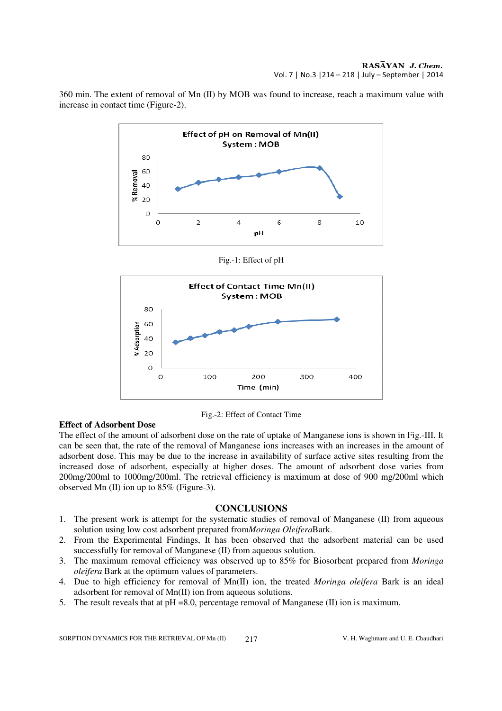

360 min. The extent of removal of Mn (II) by MOB was found to increase, reach a maximum value with increase in contact time (Figure-2).

Fig.-1: Effect of pH



Fig.-2: Effect of Contact Time

#### **Effect of Adsorbent Dose**

The effect of the amount of adsorbent dose on the rate of uptake of Manganese ions is shown in Fig.-III. It can be seen that, the rate of the removal of Manganese ions increases with an increases in the amount of adsorbent dose. This may be due to the increase in availability of surface active sites resulting from the increased dose of adsorbent, especially at higher doses. The amount of adsorbent dose varies from 200mg/200ml to 1000mg/200ml. The retrieval efficiency is maximum at dose of 900 mg/200ml which observed Mn (II) ion up to 85% (Figure-3).

#### **CONCLUSIONS**

- 1. The present work is attempt for the systematic studies of removal of Manganese (II) from aqueous solution using low cost adsorbent prepared from*Moringa Oleifera*Bark.
- 2. From the Experimental Findings, It has been observed that the adsorbent material can be used successfully for removal of Manganese (II) from aqueous solution.
- 3. The maximum removal efficiency was observed up to 85% for Biosorbent prepared from *Moringa oleifera* Bark at the optimum values of parameters.
- 4. Due to high efficiency for removal of Mn(II) ion, the treated *Moringa oleifera* Bark is an ideal adsorbent for removal of Mn(II) ion from aqueous solutions.
- 5. The result reveals that at  $pH = 8.0$ , percentage removal of Manganese (II) ion is maximum.